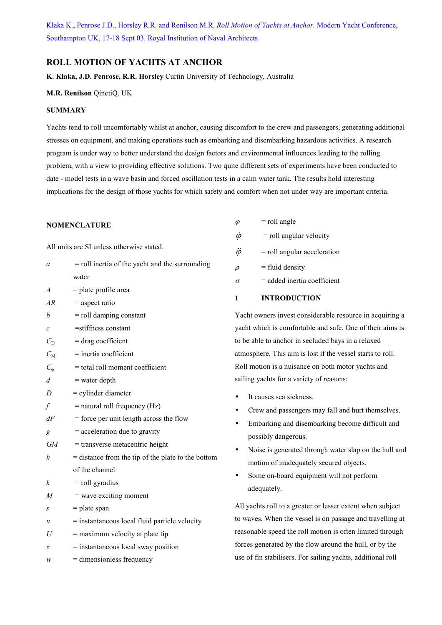Klaka K., Penrose J.D., Horsley R.R. and Renilson M.R. *Roll Motion of Yachts at Anchor.* Modern Yacht Conference, Southampton UK, 17-18 Sept 03. Royal Institution of Naval Architects

# **ROLL MOTION OF YACHTS AT ANCHOR**

### **K. Klaka, J.D. Penrose, R.R. Horsley** Curtin University of Technology, Australia

## **M.R. Renilson** QinetiQ, UK

## **SUMMARY**

Yachts tend to roll uncomfortably whilst at anchor, causing discomfort to the crew and passengers, generating additional stresses on equipment, and making operations such as embarking and disembarking hazardous activities. A research program is under way to better understand the design factors and environmental influences leading to the rolling problem, with a view to providing effective solutions. Two quite different sets of experiments have been conducted to date - model tests in a wave basin and forced oscillation tests in a calm water tank. The results hold interesting implications for the design of those yachts for which safety and comfort when not under way are important criteria.

### **NOMENCLATURE**

All units are SI unless otherwise stated.

| a                 | $=$ roll inertia of the yacht and the surrounding    | $\rho$ |
|-------------------|------------------------------------------------------|--------|
|                   | water                                                | σ      |
| $\overline{A}$    | $=$ plate profile area                               |        |
| AR                | $=$ aspect ratio                                     | 1      |
| h                 | $=$ roll damping constant                            | Y      |
| $\mathcal{C}_{0}$ | =stiffness constant                                  | yε     |
| $C_{\rm D}$       | $=$ drag coefficient                                 | to     |
| $C_{\rm M}$       | $=$ inertia coefficient                              | at     |
| $C_{\rm o}$       | = total roll moment coefficient                      | R      |
| d                 | $=$ water depth                                      | sa     |
| D                 | $=$ cylinder diameter                                |        |
| $\int$            | = natural roll frequency (Hz)                        |        |
| dF                | $=$ force per unit length across the flow            |        |
| g                 | $=$ acceleration due to gravity                      |        |
| <b>GM</b>         | = transverse metacentric height                      |        |
| h                 | $=$ distance from the tip of the plate to the bottom |        |
|                   | of the channel                                       |        |
| k                 | $=$ roll gyradius                                    |        |
| M                 | = wave exciting moment                               |        |
| S                 | $=$ plate span                                       | A      |
| $\boldsymbol{u}$  | $=$ instantaneous local fluid particle velocity      | to     |
| U                 | $=$ maximum velocity at plate tip                    | re     |
| x                 | $=$ instantaneous local sway position                | fo     |
| w                 | = dimensionless frequency                            | us     |

- $\varphi$  = roll angle
- $\dot{\phi}$  = roll angular velocity
- $\ddot{\phi}$  = roll angular acceleration
- = fluid density
- = added inertia coefficient

#### **1 INTRODUCTION**

acht owners invest considerable resource in acquiring a acht which is comfortable and safe. One of their aims is be able to anchor in secluded bays in a relaxed the the vessel starts to roll. oll motion is a nuisance on both motor yachts and iling yachts for a variety of reasons:

- It causes sea sickness.
- Crew and passengers may fall and hurt themselves.
- Embarking and disembarking become difficult and possibly dangerous.
- Noise is generated through water slap on the hull and motion of inadequately secured objects.
- Some on-board equipment will not perform adequately.

All yachts roll to a greater or lesser extent when subject waves. When the vessel is on passage and travelling at easonable speed the roll motion is often limited through be a generated by the flow around the hull, or by the se of fin stabilisers. For sailing yachts, additional roll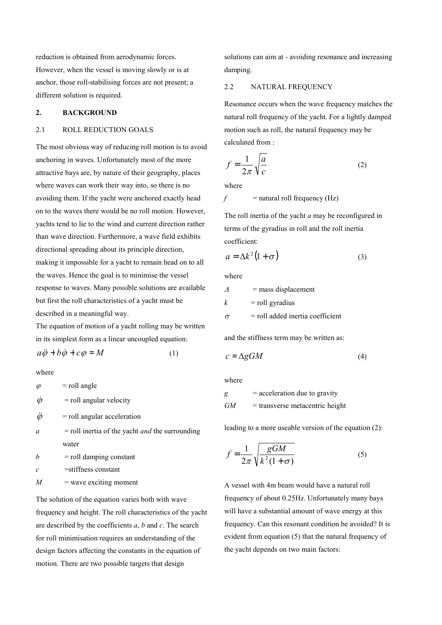reduction is obtained from aerodynamic forces.

However, when the vessel is moving slowly or is at anchor, those roll-stabilising forces are not present; a different solution is required.

### **2. BACKGROUND**

### 2.1 ROLL REDUCTION GOALS

The most obvious way of reducing roll motion is to avoid anchoring in waves. Unfortunately most of the more attractive bays are, by nature of their geography, places where waves can work their way into, so there is no avoiding them. If the yacht were anchored exactly head on to the waves there would be no roll motion. However, yachts tend to lie to the wind and current direction rather than wave direction. Furthermore, a wave field exhibits directional spreading about its principle direction, making it impossible for a yacht to remain head on to all the waves. Hence the goal is to minimise the vessel response to waves. Many possible solutions are available but first the roll characteristics of a yacht must be described in a meaningful way.

The equation of motion of a yacht rolling may be written in its simplest form as a linear uncoupled equation:

 $a\ddot{\varphi} + b\dot{\varphi} + c\varphi = M$  (1)

where

| $\varphi$        | $=$ roll angle                                           |
|------------------|----------------------------------------------------------|
| $\varphi$        | $=$ roll angular velocity                                |
| $\ddot{\varphi}$ | $=$ roll angular acceleration                            |
| a                | $=$ roll inertia of the yacht <i>and</i> the surrounding |
|                  | water                                                    |
| $\boldsymbol{h}$ | $=$ roll damping constant                                |
| C                | =stiffness constant                                      |
| M                | $=$ wave exciting moment                                 |

The solution of the equation varies both with wave frequency and height. The roll characteristics of the yacht are described by the coefficients *a*, *b* and *c*. The search for roll minimisation requires an understanding of the design factors affecting the constants in the equation of motion. There are two possible targets that design

solutions can aim at - avoiding resonance and increasing damping.

## 2.2 NATURAL FREQUENCY

Resonance occurs when the wave frequency matches the natural roll frequency of the yacht. For a lightly damped motion such as roll, the natural frequency may be calculated from :

$$
f = \frac{1}{2\pi} \sqrt{\frac{a}{c}} \tag{2}
$$

where

 $f$  = natural roll frequency (Hz)

The roll inertia of the yacht *a* may be reconfigured in terms of the gyradius in roll and the roll inertia coefficient:

$$
a = \Delta k^2 \left( 1 + \sigma \right) \tag{3}
$$

where

| $\overline{\Lambda}$ | $=$ mass displacement              |
|----------------------|------------------------------------|
| k                    | $=$ roll gyradius                  |
| $\sigma$             | $=$ roll added inertia coefficient |

and the stiffness term may be written as:

$$
c = \Delta gGM \tag{4}
$$

where

| g  | $=$ acceleration due to gravity   |
|----|-----------------------------------|
| GМ | $=$ transverse metacentric height |

leading to a more useable version of the equation (2):

$$
f = \frac{1}{2\pi} \sqrt{\frac{gGM}{k^2(1+\sigma)}}\tag{5}
$$

A vessel with 4m beam would have a natural roll frequency of about 0.25Hz. Unfortunately many bays will have a substantial amount of wave energy at this frequency. Can this resonant condition be avoided? It is evident from equation (5) that the natural frequency of the yacht depends on two main factors: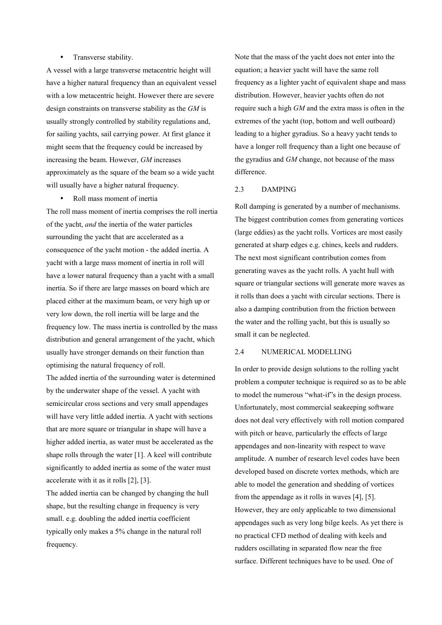## • Transverse stability.

A vessel with a large transverse metacentric height will have a higher natural frequency than an equivalent vessel with a low metacentric height. However there are severe design constraints on transverse stability as the *GM* is usually strongly controlled by stability regulations and, for sailing yachts, sail carrying power. At first glance it might seem that the frequency could be increased by increasing the beam. However, *GM* increases approximately as the square of the beam so a wide yacht will usually have a higher natural frequency.

• Roll mass moment of inertia

The roll mass moment of inertia comprises the roll inertia of the yacht, *and* the inertia of the water particles surrounding the yacht that are accelerated as a consequence of the yacht motion - the added inertia. A yacht with a large mass moment of inertia in roll will have a lower natural frequency than a yacht with a small inertia. So if there are large masses on board which are placed either at the maximum beam, or very high up or very low down, the roll inertia will be large and the frequency low. The mass inertia is controlled by the mass distribution and general arrangement of the yacht, which usually have stronger demands on their function than optimising the natural frequency of roll.

The added inertia of the surrounding water is determined by the underwater shape of the vessel. A yacht with semicircular cross sections and very small appendages will have very little added inertia. A yacht with sections that are more square or triangular in shape will have a higher added inertia, as water must be accelerated as the shape rolls through the water [1]. A keel will contribute significantly to added inertia as some of the water must accelerate with it as it rolls [2], [3].

The added inertia can be changed by changing the hull shape, but the resulting change in frequency is very small. e.g. doubling the added inertia coefficient typically only makes a 5% change in the natural roll frequency.

Note that the mass of the yacht does not enter into the equation; a heavier yacht will have the same roll frequency as a lighter yacht of equivalent shape and mass distribution. However, heavier yachts often do not require such a high *GM* and the extra mass is often in the extremes of the yacht (top, bottom and well outboard) leading to a higher gyradius. So a heavy yacht tends to have a longer roll frequency than a light one because of the gyradius and *GM* change, not because of the mass difference.

#### 2.3 DAMPING

Roll damping is generated by a number of mechanisms. The biggest contribution comes from generating vortices (large eddies) as the yacht rolls. Vortices are most easily generated at sharp edges e.g. chines, keels and rudders. The next most significant contribution comes from generating waves as the yacht rolls. A yacht hull with square or triangular sections will generate more waves as it rolls than does a yacht with circular sections. There is also a damping contribution from the friction between the water and the rolling yacht, but this is usually so small it can be neglected.

### 2.4 NUMERICAL MODELLING

In order to provide design solutions to the rolling yacht problem a computer technique is required so as to be able to model the numerous "what-if"s in the design process. Unfortunately, most commercial seakeeping software does not deal very effectively with roll motion compared with pitch or heave, particularly the effects of large appendages and non-linearity with respect to wave amplitude. A number of research level codes have been developed based on discrete vortex methods, which are able to model the generation and shedding of vortices from the appendage as it rolls in waves [4], [5]. However, they are only applicable to two dimensional appendages such as very long bilge keels. As yet there is no practical CFD method of dealing with keels and rudders oscillating in separated flow near the free surface. Different techniques have to be used. One of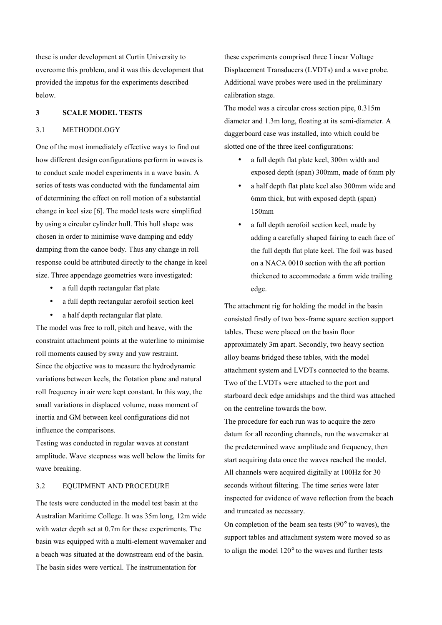these is under development at Curtin University to overcome this problem, and it was this development that provided the impetus for the experiments described below.

### **3 SCALE MODEL TESTS**

### 3.1 METHODOLOGY

One of the most immediately effective ways to find out how different design configurations perform in waves is to conduct scale model experiments in a wave basin. A series of tests was conducted with the fundamental aim of determining the effect on roll motion of a substantial change in keel size [6]. The model tests were simplified by using a circular cylinder hull. This hull shape was chosen in order to minimise wave damping and eddy damping from the canoe body. Thus any change in roll response could be attributed directly to the change in keel size. Three appendage geometries were investigated:

- a full depth rectangular flat plate
- a full depth rectangular aerofoil section keel
- a half depth rectangular flat plate.

The model was free to roll, pitch and heave, with the constraint attachment points at the waterline to minimise roll moments caused by sway and yaw restraint. Since the objective was to measure the hydrodynamic variations between keels, the flotation plane and natural roll frequency in air were kept constant. In this way, the small variations in displaced volume, mass moment of inertia and GM between keel configurations did not influence the comparisons.

Testing was conducted in regular waves at constant amplitude. Wave steepness was well below the limits for wave breaking.

## 3.2 EQUIPMENT AND PROCEDURE

The tests were conducted in the model test basin at the Australian Maritime College. It was 35m long, 12m wide with water depth set at 0.7m for these experiments. The basin was equipped with a multi-element wavemaker and a beach was situated at the downstream end of the basin. The basin sides were vertical. The instrumentation for

these experiments comprised three Linear Voltage Displacement Transducers (LVDTs) and a wave probe. Additional wave probes were used in the preliminary calibration stage.

The model was a circular cross section pipe, 0.315m diameter and 1.3m long, floating at its semi-diameter. A daggerboard case was installed, into which could be slotted one of the three keel configurations:

- a full depth flat plate keel, 300m width and exposed depth (span) 300mm, made of 6mm ply
- a half depth flat plate keel also 300mm wide and 6mm thick, but with exposed depth (span) 150mm
- a full depth aerofoil section keel, made by adding a carefully shaped fairing to each face of the full depth flat plate keel. The foil was based on a NACA 0010 section with the aft portion thickened to accommodate a 6mm wide trailing edge.

The attachment rig for holding the model in the basin consisted firstly of two box-frame square section support tables. These were placed on the basin floor approximately 3m apart. Secondly, two heavy section alloy beams bridged these tables, with the model attachment system and LVDTs connected to the beams. Two of the LVDTs were attached to the port and starboard deck edge amidships and the third was attached on the centreline towards the bow.

The procedure for each run was to acquire the zero datum for all recording channels, run the wavemaker at the predetermined wave amplitude and frequency, then start acquiring data once the waves reached the model. All channels were acquired digitally at 100Hz for 30 seconds without filtering. The time series were later inspected for evidence of wave reflection from the beach and truncated as necessary.

On completion of the beam sea tests (90° to waves), the support tables and attachment system were moved so as to align the model 120° to the waves and further tests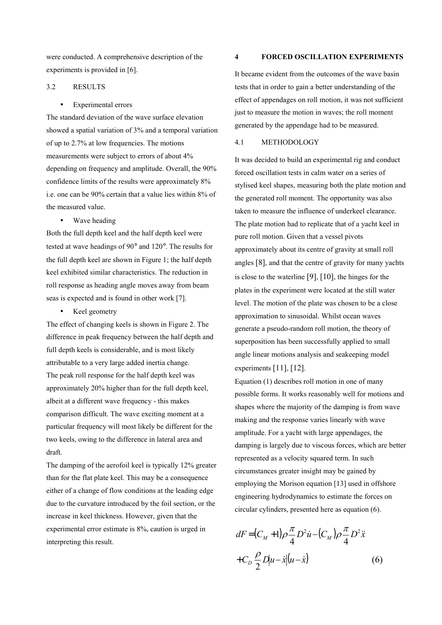were conducted. A comprehensive description of the experiments is provided in [6].

# 3.2 RESULTS

## • Experimental errors

The standard deviation of the wave surface elevation showed a spatial variation of 3% and a temporal variation of up to 2.7% at low frequencies. The motions measurements were subject to errors of about 4% depending on frequency and amplitude. Overall, the 90% confidence limits of the results were approximately 8% i.e. one can be 90% certain that a value lies within 8% of the measured value.

#### Wave heading

Both the full depth keel and the half depth keel were tested at wave headings of 90° and 120°. The results for the full depth keel are shown in Figure 1; the half depth keel exhibited similar characteristics. The reduction in roll response as heading angle moves away from beam seas is expected and is found in other work [7].

• Keel geometry

The effect of changing keels is shown in Figure 2. The difference in peak frequency between the half depth and full depth keels is considerable, and is most likely attributable to a very large added inertia change. The peak roll response for the half depth keel was approximately 20% higher than for the full depth keel, albeit at a different wave frequency - this makes comparison difficult. The wave exciting moment at a particular frequency will most likely be different for the two keels, owing to the difference in lateral area and draft.

The damping of the aerofoil keel is typically 12% greater than for the flat plate keel. This may be a consequence either of a change of flow conditions at the leading edge due to the curvature introduced by the foil section, or the increase in keel thickness. However, given that the experimental error estimate is 8%, caution is urged in interpreting this result.

#### **4 FORCED OSCILLATION EXPERIMENTS**

It became evident from the outcomes of the wave basin tests that in order to gain a better understanding of the effect of appendages on roll motion, it was not sufficient just to measure the motion in waves; the roll moment generated by the appendage had to be measured.

# 4.1 METHODOLOGY

It was decided to build an experimental rig and conduct forced oscillation tests in calm water on a series of stylised keel shapes, measuring both the plate motion and the generated roll moment. The opportunity was also taken to measure the influence of underkeel clearance. The plate motion had to replicate that of a yacht keel in pure roll motion. Given that a vessel pivots approximately about its centre of gravity at small roll angles [8], and that the centre of gravity for many yachts is close to the waterline [9], [10], the hinges for the plates in the experiment were located at the still water level. The motion of the plate was chosen to be a close approximation to sinusoidal. Whilst ocean waves generate a pseudo-random roll motion, the theory of superposition has been successfully applied to small angle linear motions analysis and seakeeping model experiments  $[11]$ ,  $[12]$ .

Equation (1) describes roll motion in one of many possible forms. It works reasonably well for motions and shapes where the majority of the damping is from wave making and the response varies linearly with wave amplitude. For a yacht with large appendages, the damping is largely due to viscous forces, which are better represented as a velocity squared term. In such circumstances greater insight may be gained by employing the Morison equation [13] used in offshore engineering hydrodynamics to estimate the forces on circular cylinders, presented here as equation (6).

$$
dF = (C_M + 1)\rho \frac{\pi}{4} D^2 \dot{u} - (C_M) \rho \frac{\pi}{4} D^2 \ddot{x}
$$
  
+  $C_D \frac{\rho}{2} D |u - \dot{x}| (u - \dot{x})$  (6)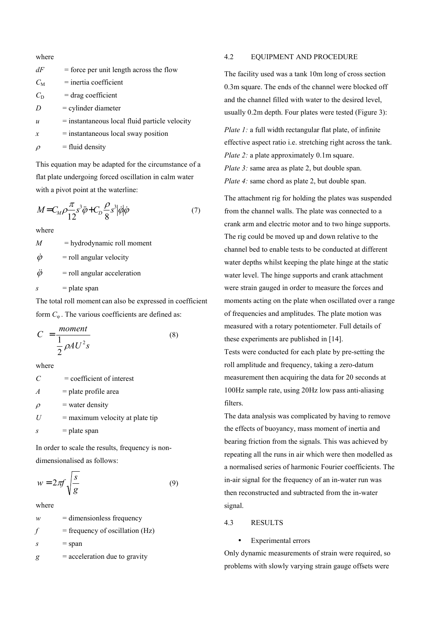where

| dF               | $=$ force per unit length across the flow       |
|------------------|-------------------------------------------------|
| $C_{\rm M}$      | $=$ inertia coefficient                         |
| $C_{\rm D}$      | $=$ drag coefficient                            |
| D                | $=$ cylinder diameter                           |
| $\boldsymbol{u}$ | $=$ instantaneous local fluid particle velocity |
| $\mathcal{X}$    | $=$ instantaneous local sway position           |
|                  | $=$ fluid density                               |

This equation may be adapted for the circumstance of a flat plate undergoing forced oscillation in calm water with a pivot point at the waterline:

$$
M = C_M \rho \frac{\pi}{12} s^3 \ddot{\varphi} + C_D \frac{\rho}{8} s^3 |\dot{\varphi} \dot{\varphi}
$$
 (7)

where

| M                | $=$ hydrodynamic roll moment  |
|------------------|-------------------------------|
| $\dot{\varphi}$  | $=$ roll angular velocity     |
| $\ddot{\varphi}$ | $=$ roll angular acceleration |
| S                | $=$ plate span                |

The total roll moment can also be expressed in coefficient form  $C_{\alpha}$ . The various coefficients are defined as:

$$
C = \frac{moment}{\frac{1}{2}\rho A U^2 s}
$$
 (8)

where

*C* = coefficient of interest  $A =$ plate profile area  $\rho$  = water density  $U =$  maximum velocity at plate tip  $s$  = plate span

In order to scale the results, frequency is nondimensionalised as follows:

$$
w = 2\pi f \sqrt{\frac{s}{g}}
$$
 (9)

where

 $w =$ dimensionless frequency  $f =$  frequency of oscillation (Hz)  $s = span$  $g =$  acceleration due to gravity

#### 4.2 EQUIPMENT AND PROCEDURE

The facility used was a tank 10m long of cross section 0.3m square. The ends of the channel were blocked off and the channel filled with water to the desired level, usually 0.2m depth. Four plates were tested (Figure 3):

*Plate 1:* a full width rectangular flat plate, of infinite effective aspect ratio i.e. stretching right across the tank. *Plate 2:* a plate approximately 0.1m square. *Plate 3:* same area as plate 2, but double span. *Plate 4:* same chord as plate 2, but double span.

The attachment rig for holding the plates was suspended from the channel walls. The plate was connected to a crank arm and electric motor and to two hinge supports. The rig could be moved up and down relative to the channel bed to enable tests to be conducted at different water depths whilst keeping the plate hinge at the static water level. The hinge supports and crank attachment were strain gauged in order to measure the forces and moments acting on the plate when oscillated over a range of frequencies and amplitudes. The plate motion was measured with a rotary potentiometer. Full details of these experiments are published in [14]. Tests were conducted for each plate by pre-setting the roll amplitude and frequency, taking a zero-datum measurement then acquiring the data for 20 seconds at

100Hz sample rate, using 20Hz low pass anti-aliasing filters.

The data analysis was complicated by having to remove the effects of buoyancy, mass moment of inertia and bearing friction from the signals. This was achieved by repeating all the runs in air which were then modelled as a normalised series of harmonic Fourier coefficients. The in-air signal for the frequency of an in-water run was then reconstructed and subtracted from the in-water signal.

#### 4.3 RESULTS

• Experimental errors

Only dynamic measurements of strain were required, so problems with slowly varying strain gauge offsets were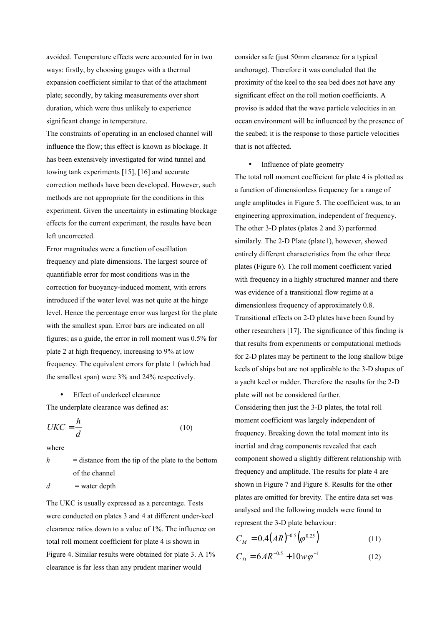avoided. Temperature effects were accounted for in two ways: firstly, by choosing gauges with a thermal expansion coefficient similar to that of the attachment plate; secondly, by taking measurements over short duration, which were thus unlikely to experience significant change in temperature.

The constraints of operating in an enclosed channel will influence the flow; this effect is known as blockage. It has been extensively investigated for wind tunnel and towing tank experiments [15], [16] and accurate correction methods have been developed. However, such methods are not appropriate for the conditions in this experiment. Given the uncertainty in estimating blockage effects for the current experiment, the results have been left uncorrected.

Error magnitudes were a function of oscillation frequency and plate dimensions. The largest source of quantifiable error for most conditions was in the correction for buoyancy-induced moment, with errors introduced if the water level was not quite at the hinge level. Hence the percentage error was largest for the plate with the smallest span. Error bars are indicated on all figures; as a guide, the error in roll moment was 0.5% for plate 2 at high frequency, increasing to 9% at low frequency. The equivalent errors for plate 1 (which had the smallest span) were 3% and 24% respectively.

• Effect of underkeel clearance

The underplate clearance was defined as:

$$
UKC = \frac{h}{d}
$$
 (10)

where

 $h$  = distance from the tip of the plate to the bottom of the channel

$$
d = \text{water depth}
$$

The UKC is usually expressed as a percentage. Tests were conducted on plates 3 and 4 at different under-keel clearance ratios down to a value of 1%. The influence on total roll moment coefficient for plate 4 is shown in Figure 4. Similar results were obtained for plate 3. A 1% clearance is far less than any prudent mariner would

consider safe (just 50mm clearance for a typical anchorage). Therefore it was concluded that the proximity of the keel to the sea bed does not have any significant effect on the roll motion coefficients. A proviso is added that the wave particle velocities in an ocean environment will be influenced by the presence of the seabed; it is the response to those particle velocities that is not affected.

#### • Influence of plate geometry

The total roll moment coefficient for plate 4 is plotted as a function of dimensionless frequency for a range of angle amplitudes in Figure 5. The coefficient was, to an engineering approximation, independent of frequency. The other 3-D plates (plates 2 and 3) performed similarly. The 2-D Plate (plate1), however, showed entirely different characteristics from the other three plates (Figure 6). The roll moment coefficient varied with frequency in a highly structured manner and there was evidence of a transitional flow regime at a dimensionless frequency of approximately 0.8. Transitional effects on 2-D plates have been found by other researchers [17]. The significance of this finding is that results from experiments or computational methods for 2-D plates may be pertinent to the long shallow bilge keels of ships but are not applicable to the 3-D shapes of a yacht keel or rudder. Therefore the results for the 2-D plate will not be considered further. Considering then just the 3-D plates, the total roll moment coefficient was largely independent of frequency. Breaking down the total moment into its inertial and drag components revealed that each component showed a slightly different relationship with frequency and amplitude. The results for plate 4 are shown in Figure 7 and Figure 8. Results for the other plates are omitted for brevity. The entire data set was analysed and the following models were found to represent the 3-D plate behaviour:

$$
C_M = 0.4 \left( AR \right)^{-0.5} \left( \varphi^{0.25} \right) \tag{11}
$$

$$
C_D = 6AR^{-0.5} + 10w\varphi^{-1}
$$
 (12)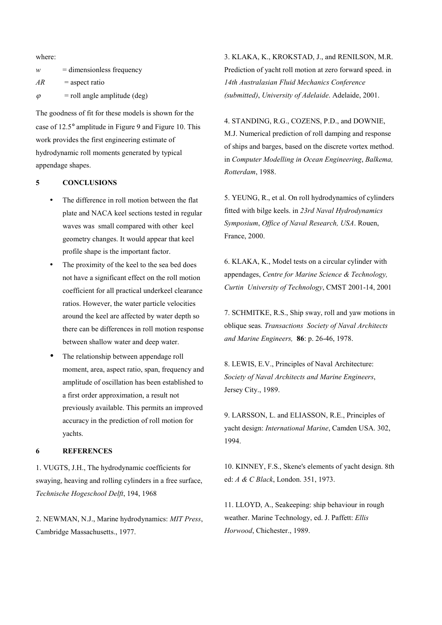where:

| w         | $=$ dimensionless frequency    |
|-----------|--------------------------------|
| AR        | $=$ aspect ratio               |
| $\varphi$ | $=$ roll angle amplitude (deg) |

The goodness of fit for these models is shown for the case of 12.5° amplitude in Figure 9 and Figure 10. This work provides the first engineering estimate of hydrodynamic roll moments generated by typical appendage shapes.

# **5 CONCLUSIONS**

- The difference in roll motion between the flat plate and NACA keel sections tested in regular waves was small compared with other keel geometry changes. It would appear that keel profile shape is the important factor.
- The proximity of the keel to the sea bed does not have a significant effect on the roll motion coefficient for all practical underkeel clearance ratios. However, the water particle velocities around the keel are affected by water depth so there can be differences in roll motion response between shallow water and deep water.
- The relationship between appendage roll moment, area, aspect ratio, span, frequency and amplitude of oscillation has been established to a first order approximation, a result not previously available. This permits an improved accuracy in the prediction of roll motion for yachts.

## **6 REFERENCES**

1. VUGTS, J.H., The hydrodynamic coefficients for swaying, heaving and rolling cylinders in a free surface, *Technische Hogeschool Delft*, 194, 1968

2. NEWMAN, N.J., Marine hydrodynamics: *MIT Press*, Cambridge Massachusetts., 1977.

3. KLAKA, K., KROKSTAD, J., and RENILSON, M.R. Prediction of yacht roll motion at zero forward speed. in *14th Australasian Fluid Mechanics Conference (submitted)*, *University of Adelaide*. Adelaide, 2001.

4. STANDING, R.G., COZENS, P.D., and DOWNIE, M.J. Numerical prediction of roll damping and response of ships and barges, based on the discrete vortex method. in *Computer Modelling in Ocean Engineering*, *Balkema, Rotterdam*, 1988.

5. YEUNG, R., et al. On roll hydrodynamics of cylinders fitted with bilge keels. in *23rd Naval Hydrodynamics Symposium*, *Office of Naval Research, USA*. Rouen, France, 2000.

6. KLAKA, K., Model tests on a circular cylinder with appendages, *Centre for Marine Science & Technology, Curtin University of Technology*, CMST 2001-14, 2001

7. SCHMITKE, R.S., Ship sway, roll and yaw motions in oblique seas*. Transactions Society of Naval Architects and Marine Engineers,* **86**: p. 26-46, 1978.

8. LEWIS, E.V., Principles of Naval Architecture: *Society of Naval Architects and Marine Engineers*, Jersey City., 1989.

9. LARSSON, L. and ELIASSON, R.E., Principles of yacht design: *International Marine*, Camden USA. 302, 1994.

10. KINNEY, F.S., Skene's elements of yacht design. 8th ed: *A & C Black*, London. 351, 1973.

11. LLOYD, A., Seakeeping: ship behaviour in rough weather. Marine Technology, ed. J. Paffett: *Ellis Horwood*, Chichester., 1989.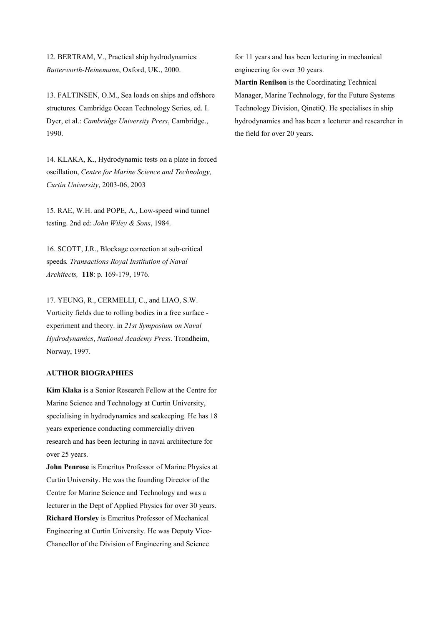12. BERTRAM, V., Practical ship hydrodynamics: *Butterworth-Heinemann*, Oxford, UK., 2000.

13. FALTINSEN, O.M., Sea loads on ships and offshore structures. Cambridge Ocean Technology Series, ed. I. Dyer, et al.: *Cambridge University Press*, Cambridge., 1990.

14. KLAKA, K., Hydrodynamic tests on a plate in forced oscillation, *Centre for Marine Science and Technology, Curtin University*, 2003-06, 2003

15. RAE, W.H. and POPE, A., Low-speed wind tunnel testing. 2nd ed: *John Wiley & Sons*, 1984.

16. SCOTT, J.R., Blockage correction at sub-critical speeds*. Transactions Royal Institution of Naval Architects,* **118**: p. 169-179, 1976.

17. YEUNG, R., CERMELLI, C., and LIAO, S.W. Vorticity fields due to rolling bodies in a free surface experiment and theory. in *21st Symposium on Naval Hydrodynamics*, *National Academy Press*. Trondheim, Norway, 1997.

## **AUTHOR BIOGRAPHIES**

**Kim Klaka** is a Senior Research Fellow at the Centre for Marine Science and Technology at Curtin University, specialising in hydrodynamics and seakeeping. He has 18 years experience conducting commercially driven research and has been lecturing in naval architecture for over 25 years.

**John Penrose** is Emeritus Professor of Marine Physics at Curtin University. He was the founding Director of the Centre for Marine Science and Technology and was a lecturer in the Dept of Applied Physics for over 30 years. **Richard Horsley** is Emeritus Professor of Mechanical Engineering at Curtin University. He was Deputy Vice-Chancellor of the Division of Engineering and Science

for 11 years and has been lecturing in mechanical engineering for over 30 years.

**Martin Renilson** is the Coordinating Technical Manager, Marine Technology, for the Future Systems Technology Division, QinetiQ. He specialises in ship hydrodynamics and has been a lecturer and researcher in the field for over 20 years.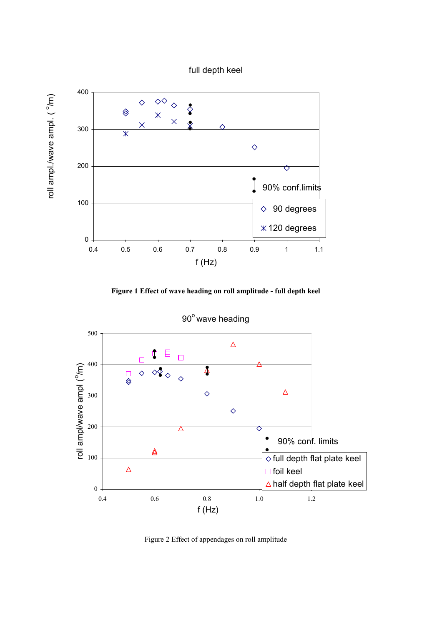full depth keel



**Figure 1 Effect of wave heading on roll amplitude - full depth keel** 



Figure 2 Effect of appendages on roll amplitude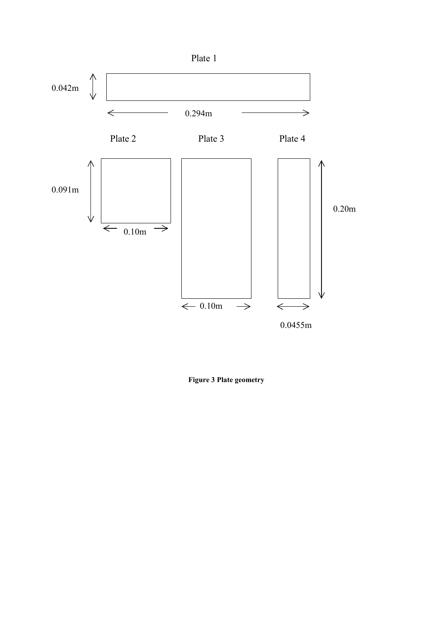

**Figure 3 Plate geometry**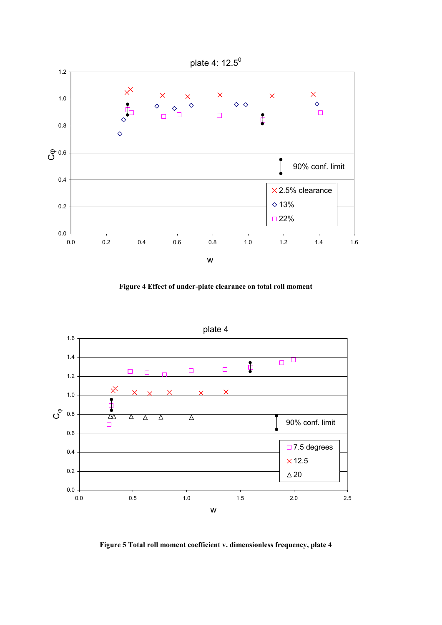

**Figure 4 Effect of under-plate clearance on total roll moment** 



**Figure 5 Total roll moment coefficient v. dimensionless frequency, plate 4**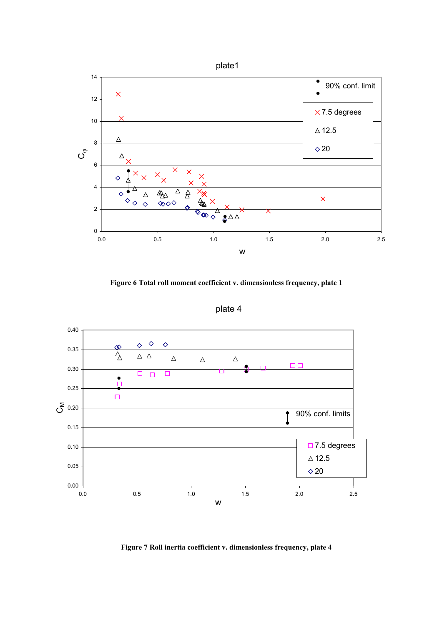

**Figure 6 Total roll moment coefficient v. dimensionless frequency, plate 1** 

plate 4



**Figure 7 Roll inertia coefficient v. dimensionless frequency, plate 4**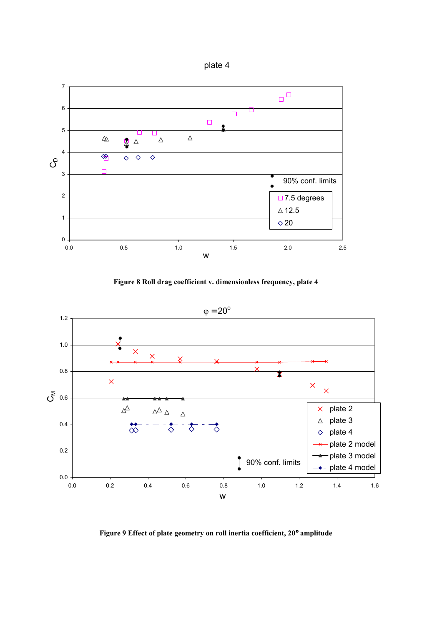

**Figure 8 Roll drag coefficient v. dimensionless frequency, plate 4** 



**Figure 9 Effect of plate geometry on roll inertia coefficient, 20**°°**amplitude**